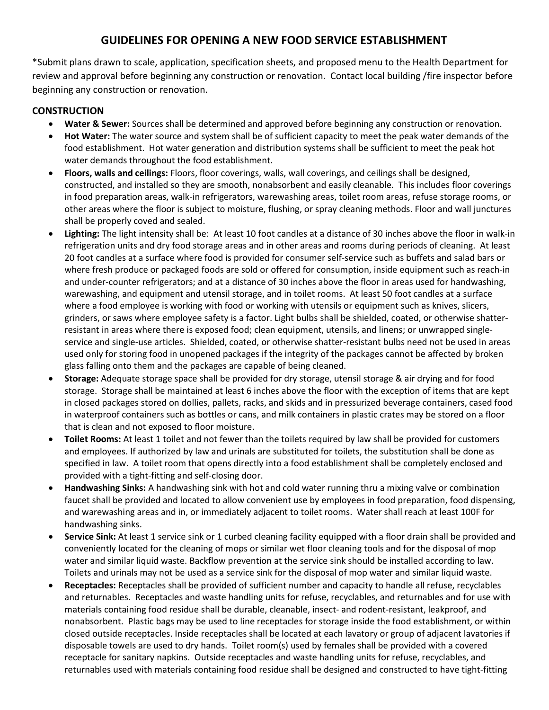## GUIDELINES FOR OPENING A NEW FOOD SERVICE ESTABLISHMENT

\*Submit plans drawn to scale, application, specification sheets, and proposed menu to the Health Department for review and approval before beginning any construction or renovation. Contact local building /fire inspector before beginning any construction or renovation.

## **CONSTRUCTION**

- Water & Sewer: Sources shall be determined and approved before beginning any construction or renovation.
- Hot Water: The water source and system shall be of sufficient capacity to meet the peak water demands of the food establishment. Hot water generation and distribution systems shall be sufficient to meet the peak hot water demands throughout the food establishment.
- Floors, walls and ceilings: Floors, floor coverings, walls, wall coverings, and ceilings shall be designed, constructed, and installed so they are smooth, nonabsorbent and easily cleanable. This includes floor coverings in food preparation areas, walk-in refrigerators, warewashing areas, toilet room areas, refuse storage rooms, or other areas where the floor is subject to moisture, flushing, or spray cleaning methods. Floor and wall junctures shall be properly coved and sealed.
- Lighting: The light intensity shall be: At least 10 foot candles at a distance of 30 inches above the floor in walk-in refrigeration units and dry food storage areas and in other areas and rooms during periods of cleaning. At least 20 foot candles at a surface where food is provided for consumer self-service such as buffets and salad bars or where fresh produce or packaged foods are sold or offered for consumption, inside equipment such as reach-in and under-counter refrigerators; and at a distance of 30 inches above the floor in areas used for handwashing, warewashing, and equipment and utensil storage, and in toilet rooms. At least 50 foot candles at a surface where a food employee is working with food or working with utensils or equipment such as knives, slicers, grinders, or saws where employee safety is a factor. Light bulbs shall be shielded, coated, or otherwise shatterresistant in areas where there is exposed food; clean equipment, utensils, and linens; or unwrapped singleservice and single-use articles. Shielded, coated, or otherwise shatter-resistant bulbs need not be used in areas used only for storing food in unopened packages if the integrity of the packages cannot be affected by broken glass falling onto them and the packages are capable of being cleaned.
- Storage: Adequate storage space shall be provided for dry storage, utensil storage & air drying and for food storage. Storage shall be maintained at least 6 inches above the floor with the exception of items that are kept in closed packages stored on dollies, pallets, racks, and skids and in pressurized beverage containers, cased food in waterproof containers such as bottles or cans, and milk containers in plastic crates may be stored on a floor that is clean and not exposed to floor moisture.
- Toilet Rooms: At least 1 toilet and not fewer than the toilets required by law shall be provided for customers and employees. If authorized by law and urinals are substituted for toilets, the substitution shall be done as specified in law. A toilet room that opens directly into a food establishment shall be completely enclosed and provided with a tight-fitting and self-closing door.
- Handwashing Sinks: A handwashing sink with hot and cold water running thru a mixing valve or combination faucet shall be provided and located to allow convenient use by employees in food preparation, food dispensing, and warewashing areas and in, or immediately adjacent to toilet rooms. Water shall reach at least 100F for handwashing sinks.
- Service Sink: At least 1 service sink or 1 curbed cleaning facility equipped with a floor drain shall be provided and conveniently located for the cleaning of mops or similar wet floor cleaning tools and for the disposal of mop water and similar liquid waste. Backflow prevention at the service sink should be installed according to law. Toilets and urinals may not be used as a service sink for the disposal of mop water and similar liquid waste.
- Receptacles: Receptacles shall be provided of sufficient number and capacity to handle all refuse, recyclables and returnables. Receptacles and waste handling units for refuse, recyclables, and returnables and for use with materials containing food residue shall be durable, cleanable, insect- and rodent-resistant, leakproof, and nonabsorbent. Plastic bags may be used to line receptacles for storage inside the food establishment, or within closed outside receptacles. Inside receptacles shall be located at each lavatory or group of adjacent lavatories if disposable towels are used to dry hands. Toilet room(s) used by females shall be provided with a covered receptacle for sanitary napkins. Outside receptacles and waste handling units for refuse, recyclables, and returnables used with materials containing food residue shall be designed and constructed to have tight-fitting